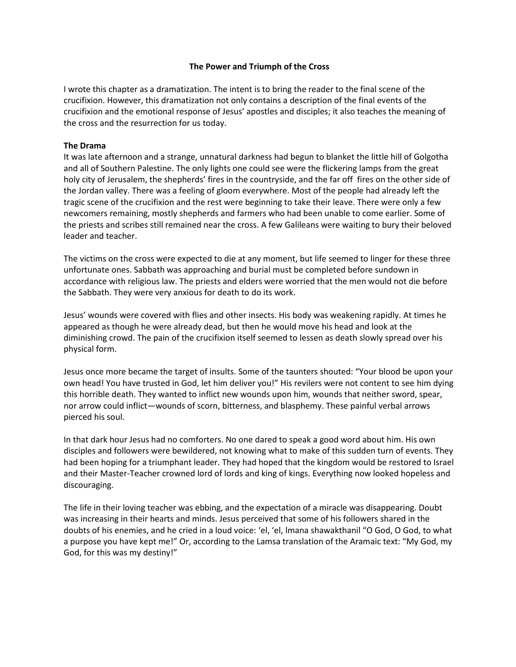## **The Power and Triumph of the Cross**

I wrote this chapter as a dramatization. The intent is to bring the reader to the final scene of the crucifixion. However, this dramatization not only contains a description of the final events of the crucifixion and the emotional response of Jesus' apostles and disciples; it also teaches the meaning of the cross and the resurrection for us today.

## **The Drama**

It was late afternoon and a strange, unnatural darkness had begun to blanket the little hill of Golgotha and all of Southern Palestine. The only lights one could see were the flickering lamps from the great holy city of Jerusalem, the shepherds' fires in the countryside, and the far off fires on the other side of the Jordan valley. There was a feeling of gloom everywhere. Most of the people had already left the tragic scene of the crucifixion and the rest were beginning to take their leave. There were only a few newcomers remaining, mostly shepherds and farmers who had been unable to come earlier. Some of the priests and scribes still remained near the cross. A few Galileans were waiting to bury their beloved leader and teacher.

The victims on the cross were expected to die at any moment, but life seemed to linger for these three unfortunate ones. Sabbath was approaching and burial must be completed before sundown in accordance with religious law. The priests and elders were worried that the men would not die before the Sabbath. They were very anxious for death to do its work.

Jesus' wounds were covered with flies and other insects. His body was weakening rapidly. At times he appeared as though he were already dead, but then he would move his head and look at the diminishing crowd. The pain of the crucifixion itself seemed to lessen as death slowly spread over his physical form.

Jesus once more became the target of insults. Some of the taunters shouted: "Your blood be upon your own head! You have trusted in God, let him deliver you!" His revilers were not content to see him dying this horrible death. They wanted to inflict new wounds upon him, wounds that neither sword, spear, nor arrow could inflict—wounds of scorn, bitterness, and blasphemy. These painful verbal arrows pierced his soul.

In that dark hour Jesus had no comforters. No one dared to speak a good word about him. His own disciples and followers were bewildered, not knowing what to make of this sudden turn of events. They had been hoping for a triumphant leader. They had hoped that the kingdom would be restored to Israel and their Master-Teacher crowned lord of lords and king of kings. Everything now looked hopeless and discouraging.

The life in their loving teacher was ebbing, and the expectation of a miracle was disappearing. Doubt was increasing in their hearts and minds. Jesus perceived that some of his followers shared in the doubts of his enemies, and he cried in a loud voice: 'el, 'el, lmana shawakthanil "O God, O God, to what a purpose you have kept me!" Or, according to the Lamsa translation of the Aramaic text: "My God, my God, for this was my destiny!"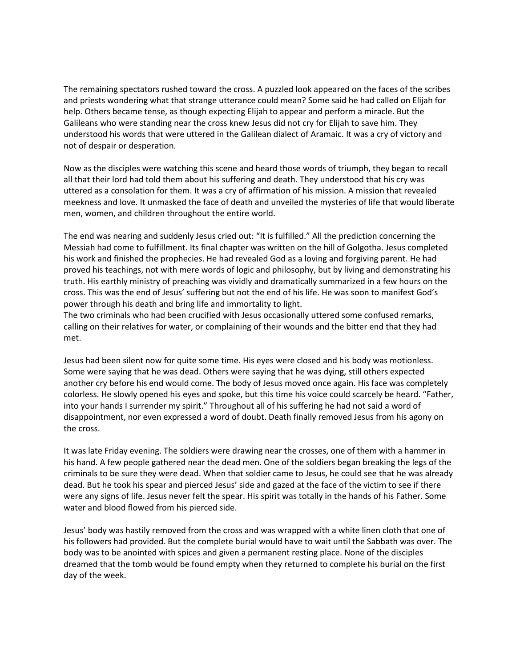The remaining spectators rushed toward the cross. A puzzled look appeared on the faces of the scribes and priests wondering what that strange utterance could mean? Some said he had called on Elijah for help. Others became tense, as though expecting Elijah to appear and perform a miracle. But the Galileans who were standing near the cross knew Jesus did not cry for Elijah to save him. They understood his words that were uttered in the Galilean dialect of Aramaic. It was a cry of victory and not of despair or desperation.

Now as the disciples were watching this scene and heard those words of triumph, they began to recall all that their lord had told them about his suffering and death. They understood that his cry was uttered as a consolation for them. It was a cry of affirmation of his mission. A mission that revealed meekness and love. It unmasked the face of death and unveiled the mysteries of life that would liberate men, women, and children throughout the entire world.

The end was nearing and suddenly Jesus cried out: "It is fulfilled." All the prediction concerning the Messiah had come to fulfillment. Its final chapter was written on the hill of Golgotha. Jesus completed his work and finished the prophecies. He had revealed God as a loving and forgiving parent. He had proved his teachings, not with mere words of logic and philosophy, but by living and demonstrating his truth. His earthly ministry of preaching was vividly and dramatically summarized in a few hours on the cross. This was the end of Jesus' suffering but not the end of his life. He was soon to manifest God's power through his death and bring life and immortality to light.

The two criminals who had been crucified with Jesus occasionally uttered some confused remarks, calling on their relatives for water, or complaining of their wounds and the bitter end that they had met.

Jesus had been silent now for quite some time. His eyes were closed and his body was motionless. Some were saying that he was dead. Others were saying that he was dying, still others expected another cry before his end would come. The body of Jesus moved once again. His face was completely colorless. He slowly opened his eyes and spoke, but this time his voice could scarcely be heard. "Father, into your hands I surrender my spirit." Throughout all of his suffering he had not said a word of disappointment, nor even expressed a word of doubt. Death finally removed Jesus from his agony on the cross.

It was late Friday evening. The soldiers were drawing near the crosses, one of them with a hammer in his hand. A few people gathered near the dead men. One of the soldiers began breaking the legs of the criminals to be sure they were dead. When that soldier came to Jesus, he could see that he was already dead. But he took his spear and pierced Jesus' side and gazed at the face of the victim to see if there were any signs of life. Jesus never felt the spear. His spirit was totally in the hands of his Father. Some water and blood flowed from his pierced side.

Jesus' body was hastily removed from the cross and was wrapped with a white linen cloth that one of his followers had provided. But the complete burial would have to wait until the Sabbath was over. The body was to be anointed with spices and given a permanent resting place. None of the disciples dreamed that the tomb would be found empty when they returned to complete his burial on the first day of the week.